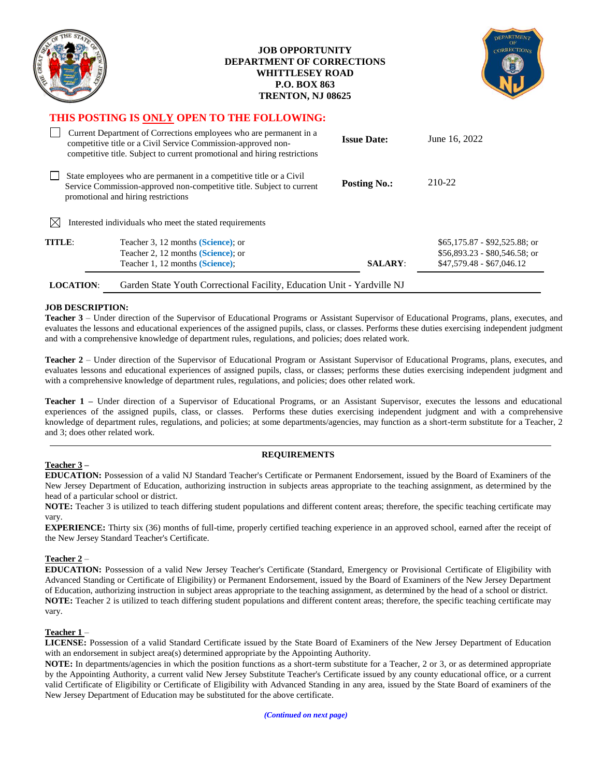| <b>REA</b>                                                                                                                                                                          |                                                                                                                                                                                                                  | <b>JOB OPPORTUNITY</b><br><b>DEPARTMENT OF CORRECTIONS</b><br><b>WHITTLESEY ROAD</b><br><b>P.O. BOX 863</b><br>TRENTON, NJ 08625 |                                                             |
|-------------------------------------------------------------------------------------------------------------------------------------------------------------------------------------|------------------------------------------------------------------------------------------------------------------------------------------------------------------------------------------------------------------|----------------------------------------------------------------------------------------------------------------------------------|-------------------------------------------------------------|
|                                                                                                                                                                                     | THIS POSTING IS ONLY OPEN TO THE FOLLOWING:                                                                                                                                                                      |                                                                                                                                  |                                                             |
|                                                                                                                                                                                     | Current Department of Corrections employees who are permanent in a<br>competitive title or a Civil Service Commission-approved non-<br>competitive title. Subject to current promotional and hiring restrictions | <b>Issue Date:</b>                                                                                                               | June 16, 2022                                               |
| State employees who are permanent in a competitive title or a Civil<br>Service Commission-approved non-competitive title. Subject to current<br>promotional and hiring restrictions |                                                                                                                                                                                                                  | <b>Posting No.:</b>                                                                                                              | 210-22                                                      |
| M                                                                                                                                                                                   | Interested individuals who meet the stated requirements                                                                                                                                                          |                                                                                                                                  |                                                             |
| TITLE:                                                                                                                                                                              | Teacher 3, 12 months (Science); or                                                                                                                                                                               |                                                                                                                                  | $$65,175.87 - $92,525.88$ ; or                              |
|                                                                                                                                                                                     | Teacher 2, 12 months (Science); or<br>Teacher 1, 12 months (Science);                                                                                                                                            | <b>SALARY:</b>                                                                                                                   | $$56,893.23 - $80,546.58$ ; or<br>$$47,579.48 - $67,046.12$ |

### **JOB DESCRIPTION:**

**Teacher 3** – Under direction of the Supervisor of Educational Programs or Assistant Supervisor of Educational Programs, plans, executes, and evaluates the lessons and educational experiences of the assigned pupils, class, or classes. Performs these duties exercising independent judgment and with a comprehensive knowledge of department rules, regulations, and policies; does related work.

**Teacher 2** – Under direction of the Supervisor of Educational Program or Assistant Supervisor of Educational Programs, plans, executes, and evaluates lessons and educational experiences of assigned pupils, class, or classes; performs these duties exercising independent judgment and with a comprehensive knowledge of department rules, regulations, and policies; does other related work.

**Teacher 1 –** Under direction of a Supervisor of Educational Programs, or an Assistant Supervisor, executes the lessons and educational experiences of the assigned pupils, class, or classes. Performs these duties exercising independent judgment and with a comprehensive knowledge of department rules, regulations, and policies; at some departments/agencies, may function as a short-term substitute for a Teacher, 2 and 3; does other related work.

## **Teacher 3 –**

## **REQUIREMENTS**

**EDUCATION:** Possession of a valid NJ Standard Teacher's Certificate or Permanent Endorsement, issued by the Board of Examiners of the New Jersey Department of Education, authorizing instruction in subjects areas appropriate to the teaching assignment, as determined by the head of a particular school or district.

**NOTE:** Teacher 3 is utilized to teach differing student populations and different content areas; therefore, the specific teaching certificate may vary.

**EXPERIENCE:** Thirty six (36) months of full-time, properly certified teaching experience in an approved school, earned after the receipt of the New Jersey Standard Teacher's Certificate.

## **Teacher 2** –

**EDUCATION:** Possession of a valid New Jersey Teacher's Certificate (Standard, Emergency or Provisional Certificate of Eligibility with Advanced Standing or Certificate of Eligibility) or Permanent Endorsement, issued by the Board of Examiners of the New Jersey Department of Education, authorizing instruction in subject areas appropriate to the teaching assignment, as determined by the head of a school or district. **NOTE:** Teacher 2 is utilized to teach differing student populations and different content areas; therefore, the specific teaching certificate may vary.

## **Teacher 1** –

**LICENSE:** Possession of a valid Standard Certificate issued by the State Board of Examiners of the New Jersey Department of Education with an endorsement in subject area(s) determined appropriate by the Appointing Authority.

**NOTE:** In departments/agencies in which the position functions as a short-term substitute for a Teacher, 2 or 3, or as determined appropriate by the Appointing Authority, a current valid New Jersey Substitute Teacher's Certificate issued by any county educational office, or a current valid Certificate of Eligibility or Certificate of Eligibility with Advanced Standing in any area, issued by the State Board of examiners of the New Jersey Department of Education may be substituted for the above certificate.